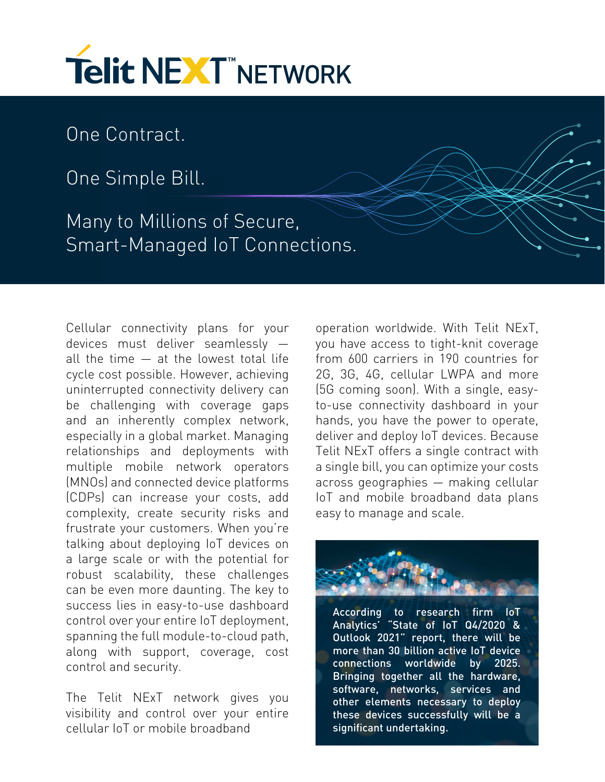

One Contract.

One Simple Bill.

Many to Millions of Secure, Smart-Managed IoT Connections.

Cellular connectivity plans for your devices must deliver seamlessly all the time — at the lowest total life cycle cost possible. However, achieving uninterrupted connectivity delivery can be challenging with coverage gaps and an inherently complex network, especially in a global market. Managing relationships and deployments with multiple mobile network operators (MNOs) and connected device platforms (CDPs) can increase your costs, add complexity, create security risks and frustrate your customers. When you're talking about deploying IoT devices on a large scale or with the potential for robust scalability, these challenges can be even more daunting. The key to success lies in easy-to-use dashboard control over your entire IoT deployment, spanning the full module-to-cloud path, along with support, coverage, cost control and security.

The Telit NExT network gives you visibility and control over your entire cellular IoT or mobile broadband

operation worldwide. With Telit NExT, you have access to tight-knit coverage from 600 carriers in 190 countries for 2G, 3G, 4G, cellular LWPA and more (5G coming soon). With a single, easyto-use connectivity dashboard in your hands, you have the power to operate, deliver and deploy IoT devices. Because Telit NExT offers a single contract with a single bill, you can optimize your costs across geographies — making cellular IoT and mobile broadband data plans easy to manage and scale.



According to research firm IoT Analytics' "State of IoT Q4/2020 & Outlook 2021" report, there will be more than 30 billion active IoT device connections worldwide by 2025. Bringing together all the hardware, software, networks, services and other elements necessary to deploy these devices successfully will be a significant undertaking.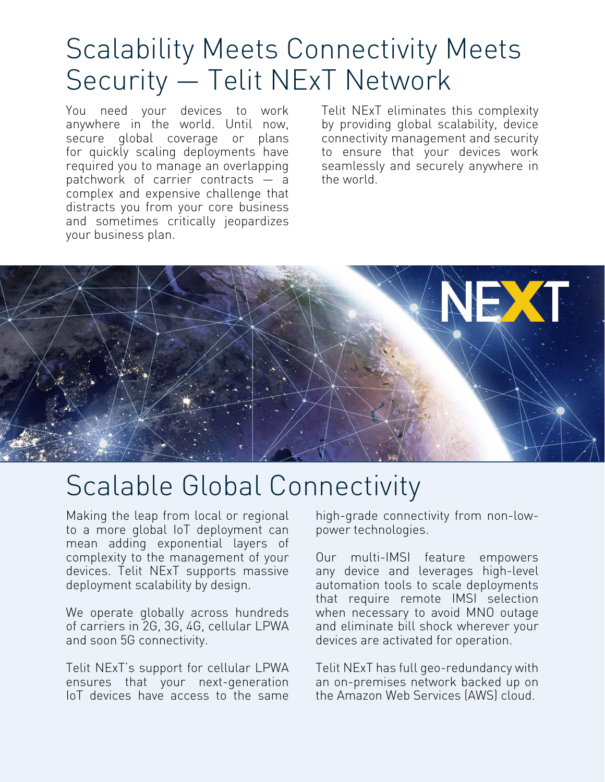# Scalability Meets Connectivity Meets Security — Telit NExT Network

You need your devices to work anywhere in the world. Until now, secure global coverage or plans for quickly scaling deployments have required you to manage an overlapping patchwork of carrier contracts — a complex and expensive challenge that distracts you from your core business and sometimes critically jeopardizes your business plan.

Telit NExT eliminates this complexity by providing global scalability, device connectivity management and security to ensure that your devices work seamlessly and securely anywhere in the world.



# Scalable Global Connectivity

Making the leap from local or regional to a more global IoT deployment can mean adding exponential layers of complexity to the management of your devices. Telit NExT supports massive deployment scalability by design.

We operate globally across hundreds of carriers in 2G, 3G, 4G, cellular LPWA and soon 5G connectivity.

Telit NExT's support for cellular LPWA ensures that your next-generation IoT devices have access to the same

high-grade connectivity from non-lowpower technologies.

Our multi-IMSI feature empowers any device and leverages high-level automation tools to scale deployments that require remote IMSI selection when necessary to avoid MNO outage and eliminate bill shock wherever your devices are activated for operation.

Telit NExT has full geo-redundancy with an on-premises network backed up on the Amazon Web Services (AWS) cloud.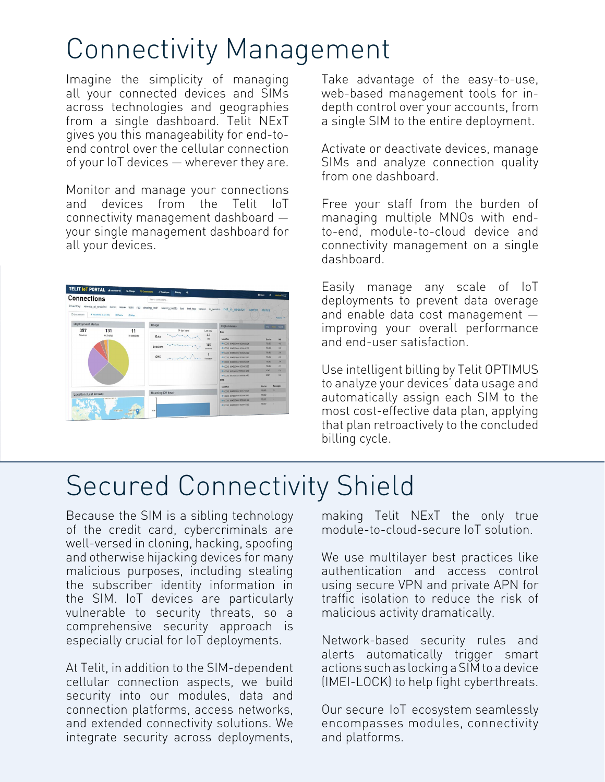# Connectivity Management

Imagine the simplicity of managing all your connected devices and SIMs across technologies and geographies from a single dashboard. Telit NExT gives you this manageability for end-toend control over the cellular connection of your IoT devices — wherever they are.

Monitor and manage your connections and devices from the Telit IoT connectivity management dashboard your single management dashboard for all your devices.

| <b>Connections</b>       |                                          |                  | Search connections |              |                  |                                                                                                                                       | <b>B</b> truck<br>$\bullet$ | device/MSF               |
|--------------------------|------------------------------------------|------------------|--------------------|--------------|------------------|---------------------------------------------------------------------------------------------------------------------------------------|-----------------------------|--------------------------|
| C Dashboard              | * Realtime (Last Sh)<br><b>Ell</b> Table | <b>COMAGE</b>    |                    |              |                  | inventory remote_at_enabled demo steve train red sharing_test1 sharing_test3a test test_tag verizen in_eession not_in_session carrier | status                      | Astons W                 |
| <b>Deployment status</b> |                                          |                  | Usage              |              |                  | <b>High runners</b>                                                                                                                   | <b>Coy</b>                  | More                     |
| 357<br><b>Devices</b>    | 131<br>Activated                         | 11<br>In-session |                    | 14 day trend | Last day<br>2.7  | Data                                                                                                                                  |                             |                          |
|                          |                                          |                  | Data               |              | MR.              | <b>Identifian</b>                                                                                                                     | Cantier                     | <b>HD</b>                |
|                          |                                          |                  |                    |              | 145              | @ ICCO RANGAMANOMING                                                                                                                  | TE1F2                       | 43                       |
|                          |                                          |                  | Sessions           |              | <b>Sessions</b>  | ● ICCID: 69452545041500018305                                                                                                         | <b>TFLF2</b>                | 35                       |
|                          |                                          |                  |                    |              |                  | @ ICCD 69452648041000202009                                                                                                           | 16162                       | 28                       |
|                          |                                          |                  | SMS                |              | <b>MAGGACIAS</b> | @ ICCID: 89452045041000017760                                                                                                         | TELEZ                       | 28                       |
|                          |                                          |                  |                    |              |                  | @ ICCID: 89452645041600202081                                                                                                         | TFLF2                       | 24.                      |
|                          |                                          |                  |                    |              |                  | @ ICCID.09452045001000053552                                                                                                          | TRLF3                       | 24                       |
|                          |                                          |                  |                    |              |                  | @ (CCID \$5014103277055951290)                                                                                                        | <b>4887</b>                 | 04                       |
|                          |                                          |                  |                    |              |                  | @ ICCD.89014103277055901470<br><b>SMS</b>                                                                                             | <b>22XT</b>                 | 03                       |
|                          |                                          |                  |                    |              |                  | <b>Mandified</b>                                                                                                                      | Carrier                     | <b>Messages</b>          |
|                          |                                          |                  | Roaming (30 days)  |              |                  | @ (220) 89402640041001210838                                                                                                          | TELE2                       | w                        |
| Location (Last known)    |                                          |                  |                    |              |                  | @ ICCID: 89452545001000053652                                                                                                         | TELE2                       | $\overline{\phantom{a}}$ |
|                          | GELLNLAND                                |                  |                    |              |                  | COD 89452045541000660433                                                                                                              | TELE2                       | ٠                        |
|                          | <b>ICELAND</b>                           | SWIDER           | <b>NH</b>          |              |                  | @ (CCID_89452045041000017760                                                                                                          | TELEZ                       | s.                       |

Take advantage of the easy-to-use, web-based management tools for indepth control over your accounts, from a single SIM to the entire deployment.

Activate or deactivate devices, manage SIMs and analyze connection quality from one dashboard.

Free your staff from the burden of managing multiple MNOs with endto-end, module-to-cloud device and connectivity management on a single dashboard.

Easily manage any scale of IoT deployments to prevent data overage and enable data cost management improving your overall performance and end-user satisfaction.

Use intelligent billing by Telit OPTIMUS to analyze your devices' data usage and automatically assign each SIM to the most cost-effective data plan, applying that plan retroactively to the concluded billing cycle.

## Secured Connectivity Shield

Because the SIM is a sibling technology of the credit card, cybercriminals are well-versed in cloning, hacking, spoofing and otherwise hijacking devices for many malicious purposes, including stealing the subscriber identity information in the SIM. IoT devices are particularly vulnerable to security threats, so a comprehensive security approach is especially crucial for IoT deployments.

At Telit, in addition to the SIM-dependent cellular connection aspects, we build security into our modules, data and connection platforms, access networks, and extended connectivity solutions. We integrate security across deployments,

making Telit NExT the only true module-to-cloud-secure IoT solution.

We use multilayer best practices like authentication and access control using secure VPN and private APN for traffic isolation to reduce the risk of malicious activity dramatically.

Network-based security rules and alerts automatically trigger smart actions such as locking a SIM to a device (IMEI-LOCK) to help fight cyberthreats.

Our secure IoT ecosystem seamlessly encompasses modules, connectivity and platforms.